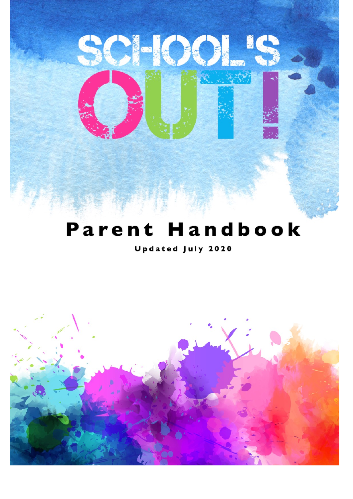

SCHOOL'S

# Parent Handbook

**Updated July 2020** 

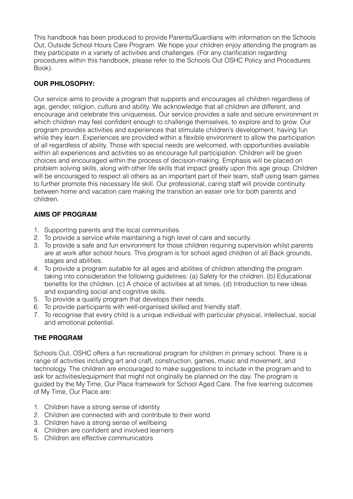This handbook has been produced to provide Parents/Guardians with information on the Schools Out, Outside School Hours Care Program. We hope your children enjoy attending the program as they participate in a variety of activities and challenges. (For any clarification regarding procedures within this handbook, please refer to the Schools Out OSHC Policy and Procedures Book).

# **OUR PHILOSOPHY:**

Our service aims to provide a program that supports and encourages all children regardless of age, gender, religion, culture and ability. We acknowledge that all children are different, and encourage and celebrate this uniqueness. Our service provides a safe and secure environment in which children may feel confident enough to challenge themselves, to explore and to grow. Our program provides activities and experiences that stimulate children's development, having fun while they learn. Experiences are provided within a flexible environment to allow the participation of all regardless of ability. Those with special needs are welcomed, with opportunities available within all experiences and activities so as encourage full participation. Children will be given choices and encouraged within the process of decision-making. Emphasis will be placed on problem solving skills, along with other life skills that impact greatly upon this age group. Children will be encouraged to respect all others as an important part of their team, staff using team games to further promote this necessary life skill. Our professional, caring staff will provide continuity between home and vacation care making the transition an easier one for both parents and children.

# **AIMS OF PROGRAM**

- 1. Supporting parents and the local communities.
- 2. To provide a service while maintaining a high level of care and security.
- 3. To provide a safe and fun environment for those children requiring supervision whilst parents are at work after school hours. This program is for school aged children of all Back grounds, stages and abilities.
- 4. To provide a program suitable for all ages and abilities of children attending the program taking into consideration the following guidelines: (a) Safety for the children. (b) Educational benefits for the children. (c) A choice of activities at all times. (d) Introduction to new ideas and expanding social and cognitive skills.
- 5. To provide a quality program that develops their needs.
- 6. To provide participants with well-organised skilled and friendly staff.
- 7. To recognise that every child is a unique individual with particular physical, intellectual, social and emotional potential.

# **THE PROGRAM**

Schools Out, OSHC offers a fun recreational program for children in primary school. There is a range of activities including art and craft, construction, games, music and movement, and technology. The children are encouraged to make suggestions to include in the program and to ask for activities/equipment that might not originally be planned on the day. The program is guided by the My Time, Our Place framework for School Aged Care. The five learning outcomes of My Time, Our Place are:

- 1. Children have a strong sense of identity
- 2. Children are connected with and contribute to their world
- 3. Children have a strong sense of wellbeing
- 4. Children are confident and involved learners
- 5. Children are effective communicators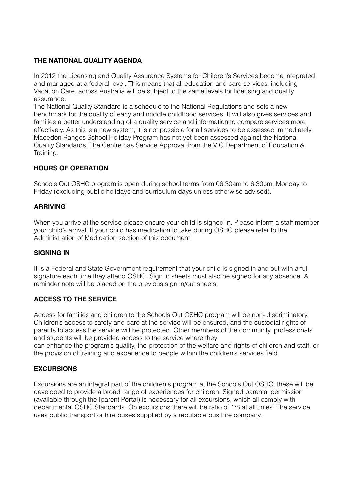# **THE NATIONAL QUALITY AGENDA**

In 2012 the Licensing and Quality Assurance Systems for Children's Services become integrated and managed at a federal level. This means that all education and care services, including Vacation Care, across Australia will be subject to the same levels for licensing and quality assurance.

The National Quality Standard is a schedule to the National Regulations and sets a new benchmark for the quality of early and middle childhood services. It will also gives services and families a better understanding of a quality service and information to compare services more effectively. As this is a new system, it is not possible for all services to be assessed immediately. Macedon Ranges School Holiday Program has not yet been assessed against the National Quality Standards. The Centre has Service Approval from the VIC Department of Education & Training.

## **HOURS OF OPERATION**

Schools Out OSHC program is open during school terms from 06.30am to 6.30pm, Monday to Friday (excluding public holidays and curriculum days unless otherwise advised).

## **ARRIVING**

When you arrive at the service please ensure your child is signed in. Please inform a staff member your child's arrival. If your child has medication to take during OSHC please refer to the Administration of Medication section of this document.

#### **SIGNING IN**

It is a Federal and State Government requirement that your child is signed in and out with a full signature each time they attend OSHC. Sign in sheets must also be signed for any absence. A reminder note will be placed on the previous sign in/out sheets.

## **ACCESS TO THE SERVICE**

Access for families and children to the Schools Out OSHC program will be non- discriminatory. Children's access to safety and care at the service will be ensured, and the custodial rights of parents to access the service will be protected. Other members of the community, professionals and students will be provided access to the service where they

can enhance the program's quality, the protection of the welfare and rights of children and staff, or the provision of training and experience to people within the children's services field.

## **EXCURSIONS**

Excursions are an integral part of the children's program at the Schools Out OSHC, these will be developed to provide a broad range of experiences for children. Signed parental permission (available through the Iparent Portal) is necessary for all excursions, which all comply with departmental OSHC Standards. On excursions there will be ratio of 1:8 at all times. The service uses public transport or hire buses supplied by a reputable bus hire company.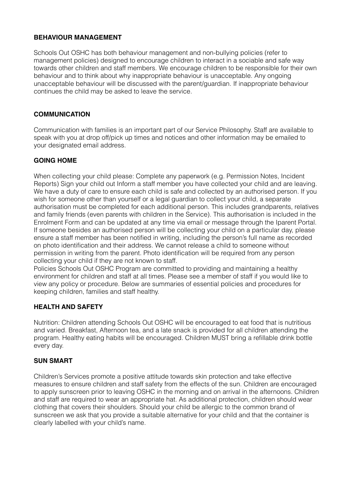#### **BEHAVIOUR MANAGEMENT**

Schools Out OSHC has both behaviour management and non-bullying policies (refer to management policies) designed to encourage children to interact in a sociable and safe way towards other children and staff members. We encourage children to be responsible for their own behaviour and to think about why inappropriate behaviour is unacceptable. Any ongoing unacceptable behaviour will be discussed with the parent/guardian. If inappropriate behaviour continues the child may be asked to leave the service.

## **COMMUNICATION**

Communication with families is an important part of our Service Philosophy. Staff are available to speak with you at drop off/pick up times and notices and other information may be emailed to your designated email address.

#### **GOING HOME**

When collecting your child please: Complete any paperwork (e.g. Permission Notes, Incident Reports) Sign your child out Inform a staff member you have collected your child and are leaving. We have a duty of care to ensure each child is safe and collected by an authorised person. If you wish for someone other than yourself or a legal guardian to collect your child, a separate authorisation must be completed for each additional person. This includes grandparents, relatives and family friends (even parents with children in the Service). This authorisation is included in the Enrolment Form and can be updated at any time via email or message through the Iparent Portal. If someone besides an authorised person will be collecting your child on a particular day, please ensure a staff member has been notified in writing, including the person's full name as recorded on photo identification and their address. We cannot release a child to someone without permission in writing from the parent. Photo identification will be required from any person collecting your child if they are not known to staff.

Policies Schools Out OSHC Program are committed to providing and maintaining a healthy environment for children and staff at all times. Please see a member of staff if you would like to view any policy or procedure. Below are summaries of essential policies and procedures for keeping children, families and staff healthy.

## **HEALTH AND SAFETY**

Nutrition: Children attending Schools Out OSHC will be encouraged to eat food that is nutritious and varied. Breakfast, Afternoon tea, and a late snack is provided for all children attending the program. Healthy eating habits will be encouraged. Children MUST bring a refillable drink bottle every day.

#### **SUN SMART**

Children's Services promote a positive attitude towards skin protection and take effective measures to ensure children and staff safety from the effects of the sun. Children are encouraged to apply sunscreen prior to leaving OSHC in the morning and on arrival in the afternoons. Children and staff are required to wear an appropriate hat. As additional protection, children should wear clothing that covers their shoulders. Should your child be allergic to the common brand of sunscreen we ask that you provide a suitable alternative for your child and that the container is clearly labelled with your child's name.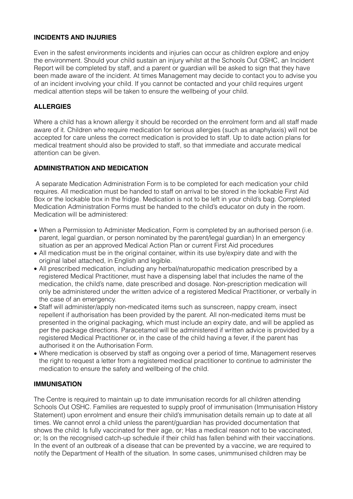## **INCIDENTS AND INJURIES**

Even in the safest environments incidents and injuries can occur as children explore and enjoy the environment. Should your child sustain an injury whilst at the Schools Out OSHC, an Incident Report will be completed by staff, and a parent or guardian will be asked to sign that they have been made aware of the incident. At times Management may decide to contact you to advise you of an incident involving your child. If you cannot be contacted and your child requires urgent medical attention steps will be taken to ensure the wellbeing of your child.

### **ALLERGIES**

Where a child has a known allergy it should be recorded on the enrolment form and all staff made aware of it. Children who require medication for serious allergies (such as anaphylaxis) will not be accepted for care unless the correct medication is provided to staff. Up to date action plans for medical treatment should also be provided to staff, so that immediate and accurate medical attention can be given.

## **ADMINISTRATION AND MEDICATION**

 A separate Medication Administration Form is to be completed for each medication your child requires. All medication must be handed to staff on arrival to be stored in the lockable First Aid Box or the lockable box in the fridge. Medication is not to be left in your child's bag. Completed Medication Administration Forms must be handed to the child's educator on duty in the room. Medication will be administered:

- When a Permission to Administer Medication, Form is completed by an authorised person (i.e. parent, legal guardian, or person nominated by the parent/legal guardian) In an emergency situation as per an approved Medical Action Plan or current First Aid procedures
- All medication must be in the original container, within its use by/expiry date and with the original label attached, in English and legible.
- All prescribed medication, including any herbal/naturopathic medication prescribed by a registered Medical Practitioner, must have a dispensing label that includes the name of the medication, the child's name, date prescribed and dosage. Non-prescription medication will only be administered under the written advice of a registered Medical Practitioner, or verbally in the case of an emergency.
- Staff will administer/apply non-medicated items such as sunscreen, nappy cream, insect repellent if authorisation has been provided by the parent. All non-medicated items must be presented in the original packaging, which must include an expiry date, and will be applied as per the package directions. Paracetamol will be administered if written advice is provided by a registered Medical Practitioner or, in the case of the child having a fever, if the parent has authorised it on the Authorisation Form.
- Where medication is observed by staff as ongoing over a period of time, Management reserves the right to request a letter from a registered medical practitioner to continue to administer the medication to ensure the safety and wellbeing of the child.

#### **IMMUNISATION**

The Centre is required to maintain up to date immunisation records for all children attending Schools Out OSHC. Families are requested to supply proof of immunisation (Immunisation History Statement) upon enrolment and ensure their child's immunisation details remain up to date at all times. We cannot enrol a child unless the parent/guardian has provided documentation that shows the child: Is fully vaccinated for their age, or; Has a medical reason not to be vaccinated, or; Is on the recognised catch-up schedule if their child has fallen behind with their vaccinations. In the event of an outbreak of a disease that can be prevented by a vaccine, we are required to notify the Department of Health of the situation. In some cases, unimmunised children may be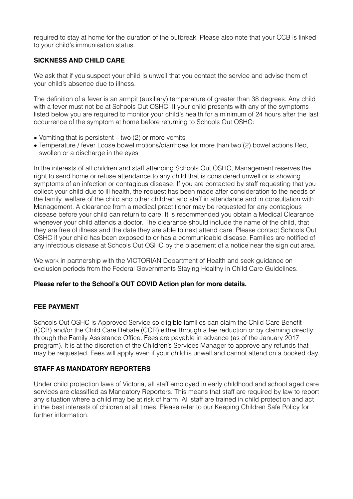required to stay at home for the duration of the outbreak. Please also note that your CCB is linked to your child's immunisation status.

## **SICKNESS AND CHILD CARE**

We ask that if you suspect your child is unwell that you contact the service and advise them of your child's absence due to illness.

The definition of a fever is an armpit (auxiliary) temperature of greater than 38 degrees. Any child with a fever must not be at Schools Out OSHC. If your child presents with any of the symptoms listed below you are required to monitor your child's health for a minimum of 24 hours after the last occurrence of the symptom at home before returning to Schools Out OSHC:

- Vomiting that is persistent two (2) or more vomits
- Temperature / fever Loose bowel motions/diarrhoea for more than two (2) bowel actions Red, swollen or a discharge in the eyes

In the interests of all children and staff attending Schools Out OSHC, Management reserves the right to send home or refuse attendance to any child that is considered unwell or is showing symptoms of an infection or contagious disease. If you are contacted by staff requesting that you collect your child due to ill health, the request has been made after consideration to the needs of the family, welfare of the child and other children and staff in attendance and in consultation with Management. A clearance from a medical practitioner may be requested for any contagious disease before your child can return to care. It is recommended you obtain a Medical Clearance whenever your child attends a doctor. The clearance should include the name of the child, that they are free of illness and the date they are able to next attend care. Please contact Schools Out OSHC if your child has been exposed to or has a communicable disease. Families are notified of any infectious disease at Schools Out OSHC by the placement of a notice near the sign out area.

We work in partnership with the VICTORIAN Department of Health and seek guidance on exclusion periods from the Federal Governments Staying Healthy in Child Care Guidelines.

#### **Please refer to the School's OUT COVID Action plan for more details.**

#### **FEE PAYMENT**

Schools Out OSHC is Approved Service so eligible families can claim the Child Care Benefit (CCB) and/or the Child Care Rebate (CCR) either through a fee reduction or by claiming directly through the Family Assistance Office. Fees are payable in advance (as of the January 2017 program). It is at the discretion of the Children's Services Manager to approve any refunds that may be requested. Fees will apply even if your child is unwell and cannot attend on a booked day.

#### **STAFF AS MANDATORY REPORTERS**

Under child protection laws of Victoria, all staff employed in early childhood and school aged care services are classified as Mandatory Reporters. This means that staff are required by law to report any situation where a child may be at risk of harm. All staff are trained in child protection and act in the best interests of children at all times. Please refer to our Keeping Children Safe Policy for further information.